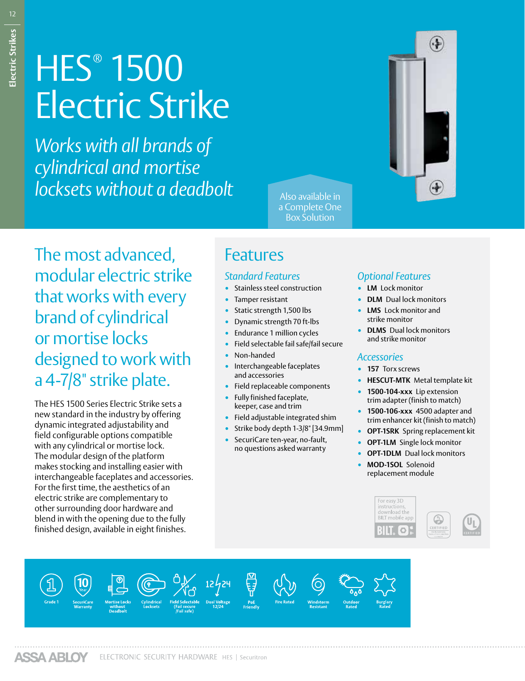# **HES® 1500** Electric Strike

*Works with all brands of cylindrical and mortise*  **locksets without a deadbolt** 



a Complete One Box Solution

The most advanced, modular electric strike that works with every brand of cylindrical or mortise locks designed to work with a 4-7/8" strike plate.

The HES 1500 Series Electric Strike sets a new standard in the industry by offering dynamic integrated adjustability and field configurable options compatible with any cylindrical or mortise lock. The modular design of the platform makes stocking and installing easier with interchangeable faceplates and accessories. For the first time, the aesthetics of an electric strike are complementary to other surrounding door hardware and blend in with the opening due to the fully finished design, available in eight finishes.

## Features

#### *Standard Features*

- Stainless steel construction
- Tamper resistant
- Static strength 1,500 lbs
- Dynamic strength 70 ft-lbs
- Endurance 1 million cycles
- Field selectable fail safe/fail secure
- Non-handed
- Interchangeable faceplates and accessories
- Field replaceable components
- Fully finished faceplate, keeper, case and trim
- Field adjustable integrated shim
- Strike body depth 1-3/8" [34.9mm]
- SecuriCare ten-year, no-fault, no questions asked warranty

### *Optional Features*

- **LM** Lock monitor
- **DLM** Dual lock monitors
- **LMS** Lock monitor and strike monitor
- **DLMS** Dual lock monitors and strike monitor

#### *Accessories*

- **157** Torx screws
- **HESCUT-MTK** Metal template kit
- **1500-104-xxx** Lip extension trim adapter (finish to match)
- **1500-106-xxx** 4500 adapter and trim enhancer kit (finish to match)
- **OPT-1SRK** Spring replacement kit
- **OPT-1LM** Single lock monitor
- **OPT-1DLM** Dual lock monitors
- **MOD-1SOL** Solenoid replacement module

For easy 3D<br>instructions download the BILT mobile api